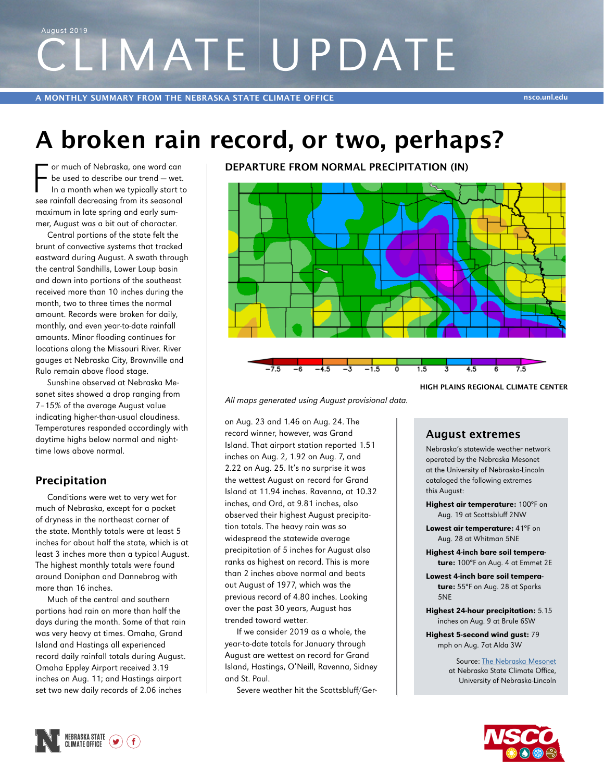# CLIMATE UPDATE August 2019

## **A broken rain record, or two, perhaps?**

F or much of Nebraska, one word can<br>be used to describe our trend – wet.<br>In a month when we typically start to<br>see rainfall decreasing from its seasonal or much of Nebraska, one word can be used to describe our trend — wet. In a month when we typically start to maximum in late spring and early summer, August was a bit out of character.

Central portions of the state felt the brunt of convective systems that tracked eastward during August. A swath through the central Sandhills, Lower Loup basin and down into portions of the southeast received more than 10 inches during the month, two to three times the normal amount. Records were broken for daily, monthly, and even year-to-date rainfall amounts. Minor flooding continues for locations along the Missouri River. River gauges at Nebraska City, Brownville and Rulo remain above flood stage.

Sunshine observed at Nebraska Mesonet sites showed a drop ranging from 7–15% of the average August value indicating higher-than-usual cloudiness. Temperatures responded accordingly with daytime highs below normal and nighttime lows above normal.

### **Precipitation**

Conditions were wet to very wet for much of Nebraska, except for a pocket of dryness in the northeast corner of the state. Monthly totals were at least 5 inches for about half the state, which is at least 3 inches more than a typical August. The highest monthly totals were found around Doniphan and Dannebrog with more than 16 inches.

Much of the central and southern portions had rain on more than half the days during the month. Some of that rain was very heavy at times. Omaha, Grand Island and Hastings all experienced record daily rainfall totals during August. Omaha Eppley Airport received 3.19 inches on Aug. 11; and Hastings airport set two new daily records of 2.06 inches

**DEPARTURE FROM NORMAL PRECIPITATION (IN)**



*All maps generated using August provisional data.*

on Aug. 23 and 1.46 on Aug. 24. The record winner, however, was Grand Island. That airport station reported 1.51 inches on Aug. 2, 1.92 on Aug. 7, and 2.22 on Aug. 25. It's no surprise it was the wettest August on record for Grand Island at 11.94 inches. Ravenna, at 10.32 inches, and Ord, at 9.81 inches, also observed their highest August precipitation totals. The heavy rain was so widespread the statewide average precipitation of 5 inches for August also ranks as highest on record. This is more than 2 inches above normal and beats out August of 1977, which was the previous record of 4.80 inches. Looking over the past 30 years, August has trended toward wetter.

If we consider 2019 as a whole, the year-to-date totals for January through August are wettest on record for Grand Island, Hastings, O'Neill, Ravenna, Sidney and St. Paul.

Severe weather hit the Scottsbluff/Ger-

### **August extremes**

Nebraska's statewide weather network operated by the Nebraska Mesonet at the University of Nebraska-Lincoln cataloged the following extremes this August:

**HIGH PLAINS REGIONAL CLIMATE CENTER**

- Highest air temperature: 100°F on Aug. 19 at Scottsbluff 2NW
- Lowest air temperature: 41°F on Aug. 28 at Whitman 5NE
- Highest 4-inch bare soil temperature: 100°F on Aug. 4 at Emmet 2E
- Lowest 4-inch bare soil temperature: 55°F on Aug. 28 at Sparks 5NE
- Highest 24-hour precipitation: 5.15 inches on Aug. 9 at Brule 6SW
- Highest 5-second wind gust: 79 mph on Aug. 7at Alda 3W

Source: [The Nebraska Mesonet](http://mesonet.unl.edu) at Nebraska State Climate Office, University of Nebraska-Lincoln